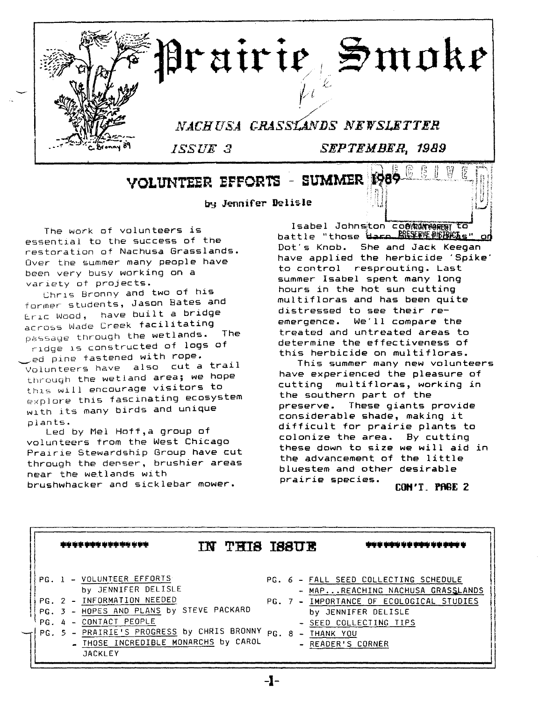

VOLUNTEER EFFORTS - SUMMER

by Jennifer Delisle

The work of volunteers is essential to the success of the restoration of Nachusa Grasslands. Over the summer many people have been very busy working on a variety at projects.

ChrIs Bronny and two of his former students, Jason Bates and Eric Wood, have built a bridge across Wade Creek facilitating passage through the wetlands. The rIdge IS constructed of logs of ,ed pine fastened with rope. Volunteers have also cut a trail through the wetland area; we hope this will encourage visitors to explore this fascinating ecosystem wIth its many birds and unique plants.

Led by Mel Hoff,a group of volunteers from the West Chicago Prairie Stewardship Group have cut through the denser, brushier areas near the wetlands with brushwhacker and sicklebar mower.

Isabel Johnston coeewwers to battle "those <del>dard RMSIREBDBKAs"</del> Dot's Knob. She and Jack Keegan have applied the herbicide 'Spike' to control resprouting. Last summer Isabel spent many long hours in the hot sun cutting multifloras and has been quite distressed to see their reemergence. We'll compare the treated and untreated areas to determine the effectiveness of this herbicide on multifloras.

This summer many new volunteers have experienced the pleasure of cutting multifloras, working in the southern part of the preserve. These giants provide considerable shade, making it difficult for prairie plants to colonize the area. By cutting these down to size we will aid in the advancement of the little bluestem and other desirable prairie species.

CON'T. PAGE 2

|     | <b>难吃吃来事事你希望幸福亲亲母亲</b>                                                                                                     | TN 1 | <b>THIS ISSUE</b> |  | <b>动电管导弹电导管管导导导管管导管</b>                                                   |
|-----|----------------------------------------------------------------------------------------------------------------------------|------|-------------------|--|---------------------------------------------------------------------------|
|     | PG. 1 - VOLUNTEER EFFORTS<br>by JENNIFER DELISLE                                                                           |      |                   |  | PG. 6 - FALL SEED COLLECTING SCHEDULE<br>- MAPREACHING NACHUSA GRASSLANDS |
|     | PG. 2 - INFORMATION NEEDED<br>PG. 3 - HOPES AND PLANS by STEVE PACKARD                                                     |      |                   |  | PG. 7 - IMPORTANCE OF ECOLOGICAL STUDIES<br>by JENNIFER DELISLE           |
| PG. | 4 - CONTACT PEOPLE<br>PG. 5 - PRAIRIE'S PROGRESS by CHRIS BRONNY<br>- THOSE INCREDIBLE MONARCHS by CAROL<br><b>JACKLEY</b> |      |                   |  | - SEED COLLECTING TIPS<br>PG. 8 - THANK YOU<br>- READER'S CORNER          |

-1-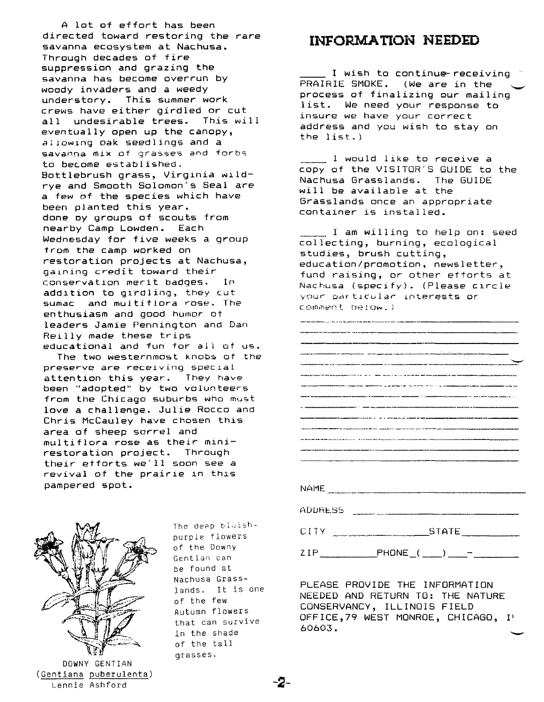A lot of effort has been directed toward restoring the *rare* savanna ecosystem at Nachusa. Through decades of fire suppression and grazing the savanna has become overrun by woody invaders and a weedy understory. This summer work crews have either girdled or cut all undesirable trees. This will eventually open up the canopy, allowing oak seedlings and a savanna mix of grasses and forbs to become established. Bottlebrush grass, Virglnia wlld*rye* and Smooth Solomon's Seal *are* a few of the species which have been planted this year. done oy groups of scouts from nearby Camp Lowden. Each Wednesday for five weeks a group from the camp worked on restoration projects at Nachusa, gaining credit toward their conservation merit badges. In addition to gIrdling, they cut sumac and multiflora rose. The enthusiasm and good humor of leaders Jamie Pennington and Dan Reilly made these trips educational and fun for all of us.

The two westernmost knobs of the preserve are receiving special attention this year. They have been "adopted" by two volunteers from the Chicago suburbs who must love a challenge. Julie Rocco and Chris McCauley have chosen this area of sheep sorrel and multiflora rose as their minirestoration project. Through their etforts we'll soon see a revival of the prairie in this pampered spot.



DOWNY GENTIAN (Gentiana puberulenta) Lennie Ashford

The deep bluishpurple flowers of the Downy Gentian can be found at Nachusa Grasslands. It is one of the few Autumn flowers that can survive in the shade of the tall grasses.

## **INFORMATION NEEDED**

I wish to continu<del>e</del>-receiving PRAIRIE SMOKE. (We are in the process of finalizing our mailing list. We need your response to insure we have your correct address and you wish to stay on the 1ist .)

\_\_\_\_\_ 1 would like to receive a copy of the VISITOR'S GUIDE to the Nachusa Grasslands. The GUIDE will be available at the Grasslands once an appropriate container is installed.

I am willing to help on: seed collecting, burning, ecological studies, brush cutting, education/promotion, newsletter, fund raising, or other efforts at Nachusa (specify). (Please CIrcle your particular Lnterests or comment below.)

.<br>The composition of the state of the composition of the state of the component of the composition of the accuracy .<br>2012-ben 2014 an der Steutschen werden der Steuten des Nichtsprechen anderen der der Beitrichen Architectungen and the company of the company of the company of the company of the company of the company of the company of the ----.---- ------ ..------ ---------- -------- NAf1E ADDRESS \_\_\_\_\_\_\_\_\_\_\_\_\_\_\_\_\_\_\_

CITY \_\_ .\_~~ STATE \_

 $2 IP \qquad P$ HONE ( \_\_ )  $-$ 

PLEASE PROVIDE THE INFORMATION NEEDED AND RETURN TO: THE NATURE CONSERVANCY, ILLINOIS FIELD OFFICE,79 WEST MONROE, CHICAGO, I' 60603. -<br>|<br>|-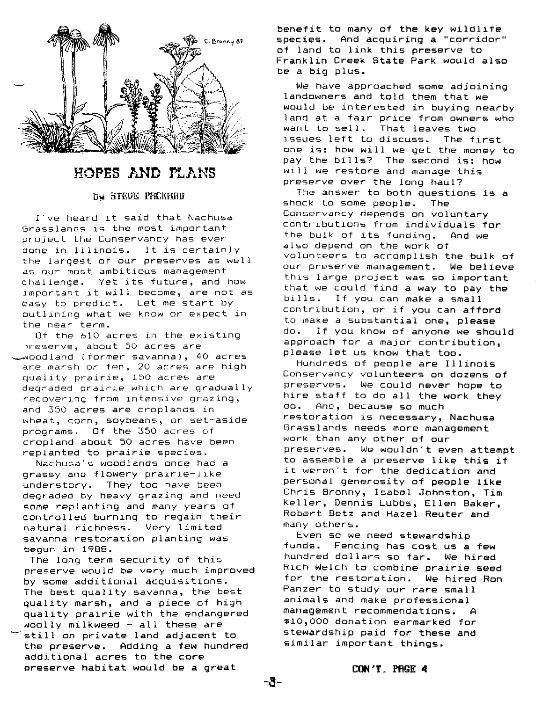

## HOPES AND PLANS

#### b~ STEUE PACKARD

I've heard it said that Nachusa Grasslands is the most important project the Conservancy has ever done in Illinois. It is certainly the largest of our preserves as well as our most ambitious management challenge. Yet its future, and how important it will become, are not as easy to predict. Let me start by outlining what we know or expect in the near term.

Of the 610 acres in the existing 1reserve, about 50 acres are ~oodland (former savanna), 40 acres are marsh or fen, 20 acres are high quality prairie, 150 acres are degraded prairie which are gradually recovering from lntensive grazing, and 350 acres are croplands in wheat, corn, soybeans, or set-aside programs. Of the 350 acres of cropland about 50 acres have been replanted to prairie species.

Nachusa's woodlands once had a grassy and flowery prairie-like understory. They too have been degraded by heavy grazing and need some replanting and many years of controlled burning to regain their natural richness. Very limited savanna restoration planting was begun in 1988.

The long term security of this preserve would be very much improved by some additional acquisitions. The best quality savanna, the best quality marsh, and a piece of high quality prairie with the endangered woolly milkweed - all these are still on private land adjacent to the preserve. Adding a few hundred additional acres to the core preserve habitat would be a great

benefit to many of the key wildlife<br>species. And acquiring a "corridor" And acquiring a "corridor" of land to link this preserve to Franklin Creek State Park would also be a big plus.

We have approached some adjoining landowners and told them that we would be interested in buying nearby land at a fair price from owners who want to sell. That leaves two issues left to discuss. The first one is: how will we get the money to pay the bills? The second is: how will we restore and manage this preserve over the long haul?

The answer to both questions is a shock to some people. The Conservancy depends on voluntary contributions from individuals for the bulk of its funding. And we also depend on the work of volunteers to accomplish the bulk of our preserve management. We believe this large project was so important that we could find a way to pay the bills. If you can make a small contribution, or if you can afford to make a substantial one, please do. If you know of anyone we should approach for <sup>a</sup> major contribution , please let us know that too.

Hundreds of people are Illinois Conservancy volunteers on dozens of preserves. We could never hope to hire staff to do all the work they do. And, because so much restoration is necessary, Nachusa Grasslands needs more management work than any other of our preserves. We wouldn't even attempt to assemble a preserve like this if it weren't for the dedication and personal generosity of people like Chris Bronny, Isabel Johnston, Tim Keller, Dennis Lubbs, Ellen Baker, Robert Betz and Hazel Reuter and many others.

Even so we need stewardship funds. Fencing has cost us a few hundred dollars so far. We hired Rich Welch to combine prairie seed for the restoration. We hired Ron Panzer to study our rare small animals and make professional management recommendations. A \$10,000 donation earmarked for stewardship paid for these and similar important things.

CON'T. PRGE 4

-s-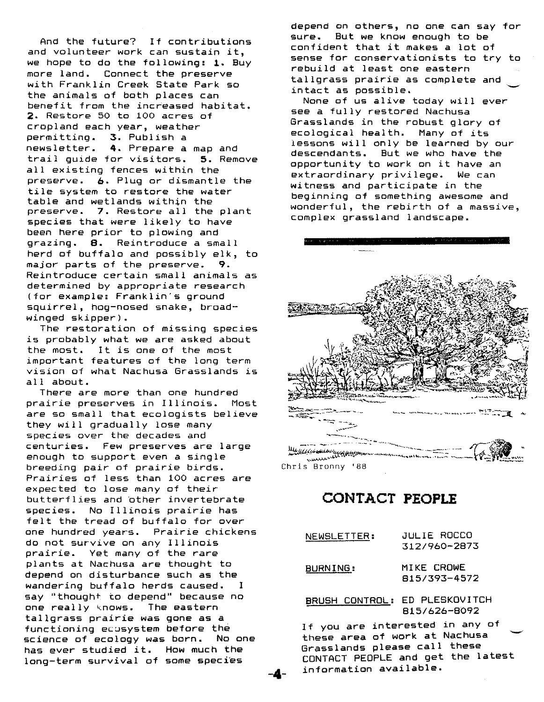And the future? If contributions and volunteer work can sustain it, we hope to do the following: 1. Buy more land. Connect the preserve with Franklin Creek State Park so the animals of both places can benefit from the increased habitat. 2. Restore 50 to 100 acres of cropland each year, weather permitting. 3. Publish a newsletter. 4. Prepare a map and trail guide for visitors. 5. Remove all existing fences within the preserve. 6. Plug or dismantle the *tile* system to restore the water table and wetlands within the preserve. 7. Restore all the plant species that were likely to have been here prior to plowing and grazing. 8. Reintroduce a small herd of buffalo and possibly elk, to major parts of the preserve. 9. Reintroduce certain small animals as determined by appropriate research (for example: Franklin's ground squirrel, hog-nosed snake, broadwinged skipper).

The restoration of missing species is probably what we are asked about the most. It is one of the most important features of the long term vision of what Nachusa Grasslands is all about.

There are more than one hundred prairie preserves in Illinois. Most are so small that ecologists believe they will gradually lose many species over the decades and centuries. Few preserves are large enough to support even a single breeding pair of prairie birds. Prairies of less than 100 acres are expected to lose many of their butterflies and bther invertebrate species. No Illinois prairie has felt the tread of buffalo for over one hundred years. Prairie chickens do not survive on any Illinois prairie. Yet many of the rare plants at Nachusa are thought to depend on disturbance such as the wandering buffalo herds caused. I say "thought to depend" because no one really knows. The eastern tallgrass prairie was gone as a functioning ecusystem before the science of ecology was born. No one has ever studied it. How much the long-term survival of some species

depend on others, no one can say for sure. But we know enough to be confident that it makes a lot of sense for conservationists to try to rebuild at least one eastern tallgrass prairie as complete and intact as possible.

None of us alive today will ever see a fully restored Nachusa Grasslands in the robust glory of ecological health. Many of its lessons will only be learned by our descendants. But we who have the opportunity to work on it have an extraordinary privilege. We can witness and participate in the beginning of something awesome and wonderful, the rebirth of a massive, complex grassland landscape.



**CONTACT PEOPLE**

| NEWSLETTER:    | JULIE ROCCO<br>312/960-2873    |  |  |  |
|----------------|--------------------------------|--|--|--|
| BURNING:       | MIKE CROWE<br>815/393-4572     |  |  |  |
| BRUSH CONTROL: | ED PLESKOVITCH<br>815/626-8092 |  |  |  |

If you are interested in any of these area of work at Nachusa Grasslands please call these CONTACT PEOPLE and get the latest information available.

-4-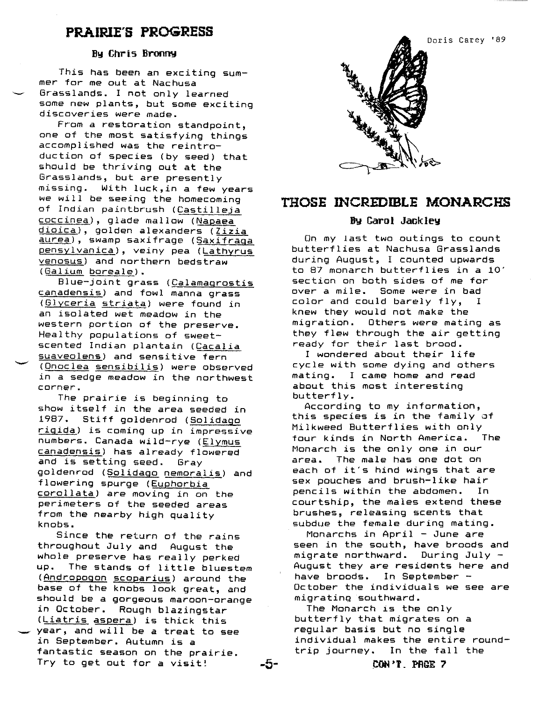### **PRAIRIE'S PROGRESS**

#### **By** Chris Bronny

*This* has been an exciting summer for me out at Nachusa Grasslands. I not only learned some new plants, but some exciting discoveries were made.

From a restoration standpoint, one of the most satisfying things accomplished was the reintroduction of species (by seed) that should be thriving out at the Grasslands, but are presently missing. With luck,in a few years we will be seeing the homecoming of Indian paintbrush (Castilleja coccinea), glade mallow (Napaea dioica), golden alexanders *(Zizia* aurea), swamp saxifrage (Saxifraga pensylvanica), veiny pea (Lathyrus venosus) and northern bedstraw (Galium boreale).

Blue-joint grass (Calamagrostis canadensis) and fowl manna grass (Glyceria striata) were found in an isolated wet meadow in the western portion of the preserve. Healthy populations of sweetscented Indian plantain (Cacalia suaveolens) and sensitive fern (Onoclea sensibilis) were observed in a sedge meadow in the northwest corner.

The prairie is beginning to show itself in the area seeded in 1987. Stiff goldenrod (Solidago rigida) *is* coming up in impressive numbers. Canada wild-rye (Elymus canadensis) has already flowered and *is* setting seed. Gray goldenrod (Solidago nemoralis) and flowering spurge (Euphorbia corollata) are moving in on the perimeters of the seeded areas from the nearby high quality knobs.

Since the return of the rains throughout July and August the whole preserve has really perked up. The stands of little bluestem (Andropogon scoparius) around the base of the knobs look great, and should be a gorgeous maroon-orange in October. Rough blazingstar (Liatris aspera) is thick this year, and will be a treat to see in September. Autumn is a fantastic season on the prairie. Try to get out for a visit! **-5-**



### **THOSE INCREDIBLE MONARCHS**

#### **By CarD I Jackley**

On my last two outings to count butterflies at Nachusa Grasslands during August, I counted upwards to 87 monarch butterflies *in* a 10' section on both sides of me for over a mile. Some were in bad color and could barely fly, I knew they would not make the migration. Others were mating as they flew through the air getting ready for their last brood.

I wondered about their life cycle with some dying and others mating. I came home and read about this most interesting butterfly.

According to my information, this species is in the family of Milkweed Butterflies with only four kinds in North America. The Monarch is the only one in our area. The male has one dot on each of it's hind wings that are sex pouches and brush-like hair pencils within the abdomen. In courtship, the males extend these brushes, releasing scents that subdue the female during mating.

Monarchs *in* April - June are seen in the south, have broods and migrate northward. During July - August they are residents here and have broods. In September October the individuals we see are migrating southward.

The Monarch is the only butterfly that migrates on a regular basis but no single individual makes the entire roundtrip journey. In the fall the

**(:ON'T \_ PAQE ?**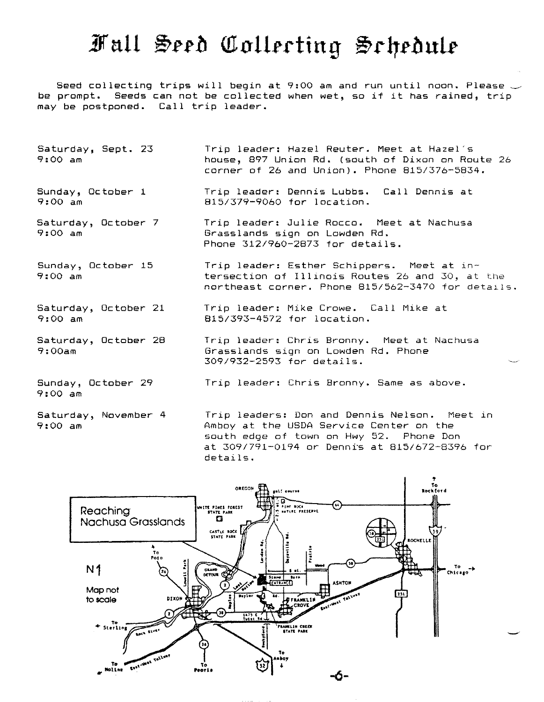# Fall Seed Collecting Schedule

Seed collecting trips will begin at 9:00 am and run until noon. Please  $\smile$ be prompt. Seeds can not be collected when wet, so if it has rained, trip may be postponed. Call trip leader.

- Saturday, Sept. 23 9:00 am Trip leader: Hazel Reuter. Meet at Hazel's house, 897 Union Rd. (south of Dixon on Route 26 corner of 26 and Union). Phone *815/376-5834.*
- Sunday, October 1 9:00 am Trip leader: Dennis Lubbs. Call Dennis at *815/379-9060* for location.
- Saturday, October 7 9:00 am Trip leader: Julie Rocco. Meet at Nachusa Grasslands sign on Lowden Rd. Phone *312/960-2873* for details.
- Sunday, October 15 9:00 am Trip leader: Esther Schippers. Meet at intersection of Illinois Routes 26 and 30, at the northeast corner. Phone *815/562-3470* for details.
- Saturday, October 21 9:00 am Trip leader: Mike Crowe. Call Mike at *815/393-4572* for location.

details.

- Saturday, October 28 9:00am Trip leader: Chris Bronny. Meet at Nachusa Grasslands sign on Lowden Rd. Phone *309/932-2593* for details.
- Sunday, October 29 9:00 am
- Saturday, November 4 9:00 am

Trip leaders: Don and Dennis Nelson. Meet in Amboy at the USDA Service Center on the south edge of town on Hwy 52. Phone Don at *309/791-0194* or Denn~s at *815/672-8396* for

Trip leader: Chris Bronny. Same as above.

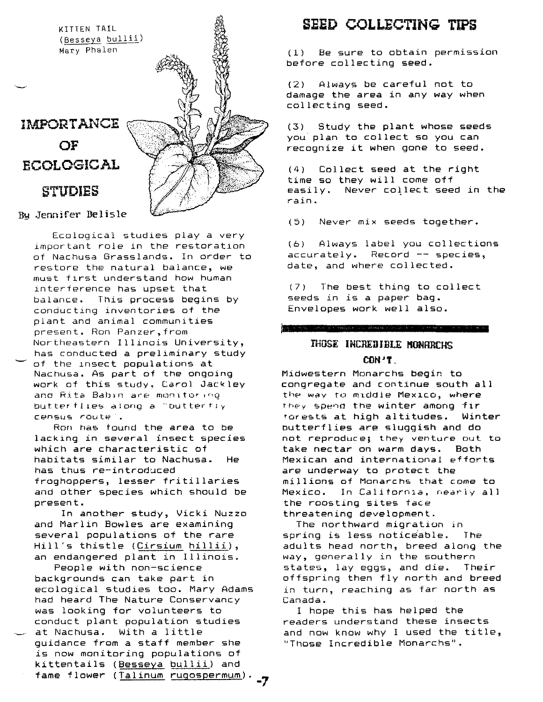

**Bu Jennifer Delisle** 

--- Ecological studies playa very important role in the restoration of Nachusa Grasslands. In order to restore the natural balance, we must first understand how human interference has upset that balance. This process begins by conducting inventories of the plant and animal communities present. Ron Panzer,from Northeastern Illinois University, has conducted a preliminary study of the lnsect populations at Nachusa. As part of the ongoing work of this study, Carol Jackley and Rita Babin are monitoring butterflies along a "butterfly census route

ROf) has tound the area to be lacklng in several insect species which are characteristic of habitats similar to Nachusa. He has thus re-introduced froghoppers, lesser fritillaries and other species which should be present.

In another study, Vicki Nuzzo and Marlin Bowles are examining several populations of the rare Hill's thistle (Cirsium hillii), an endangered plant in Illinois.

People with non-science backgrounds can take part in ecological studies too. Mary Adams had heard The Nature Conservancy was looking for volunteers to conduct plant population studies at Nachusa. With a little guidance from a staff member she is now monitoring populations of kittentails (Besseya bullii) and fame flower (Talinum rugospermum).

## **SEED COLLECTING TIPS**

(1) Be sure to obtain permission before collecting seed.

(2) Always be careful not to damage the *area* in any way when collecting seed.

(3) Study the plant whose seeds you plan to collect so you can recognize it when gone to seed.

(4) Collect seed at the right time so they will come off easily. Never collect seed in the rain.

( 5) Never mix seeds together.

(6) Always label you collections accurately. Record -- species, date, and where collected.

(7) The best thing to collect seeds in is a paper bag. Envelopes work well also.

## THOSE INCREDIBLE MONARCHS

 $\label{eq:3} \begin{minipage}[t]{0.9\textwidth} \centering \begin{minipage}[t]{0.9\textwidth} \centering \begin{minipage}[t]{0.9\textwidth} \centering \end{minipage}[t]{0.9\textwidth} \centering \begin{minipage}[t]{0.9\textwidth} \centering \end{minipage}[t]{0.9\textwidth} \centering \begin{minipage}[t]{0.9\textwidth} \centering \end{minipage}[t]{0.9\textwidth} \centering \begin{minipage}[t]{0.9\textwidth} \centering \end{minipage}[t]{0.9\textwidth} \centering \begin{minipage}[t]{0.9\textwidth} \centering \end{min$ 

 $CMY$ Midwestern Monarchs begin to congregate and continue south all the way to middle Mexico, where they spend the winter among fir forests at high altitudes. Winter outterflies *are* sluggish and do not reproduce; they venture out to take nectar on warm days. Both Mexican and international efforts are underway to protect the millions of Monarchs that come to Mexico. In California, nearly all the roosting sites face threatening development.

The northward migration in spring is less noticeable. The adults head north, breed along the way, generally in the southern states, lay eggs, and die. Their offspring then fly north and breed in turn, reaching as far north as Canada.

I hope this has helped the readers understand these insects and now know why I used the title, "Those Incredible Monarchs".